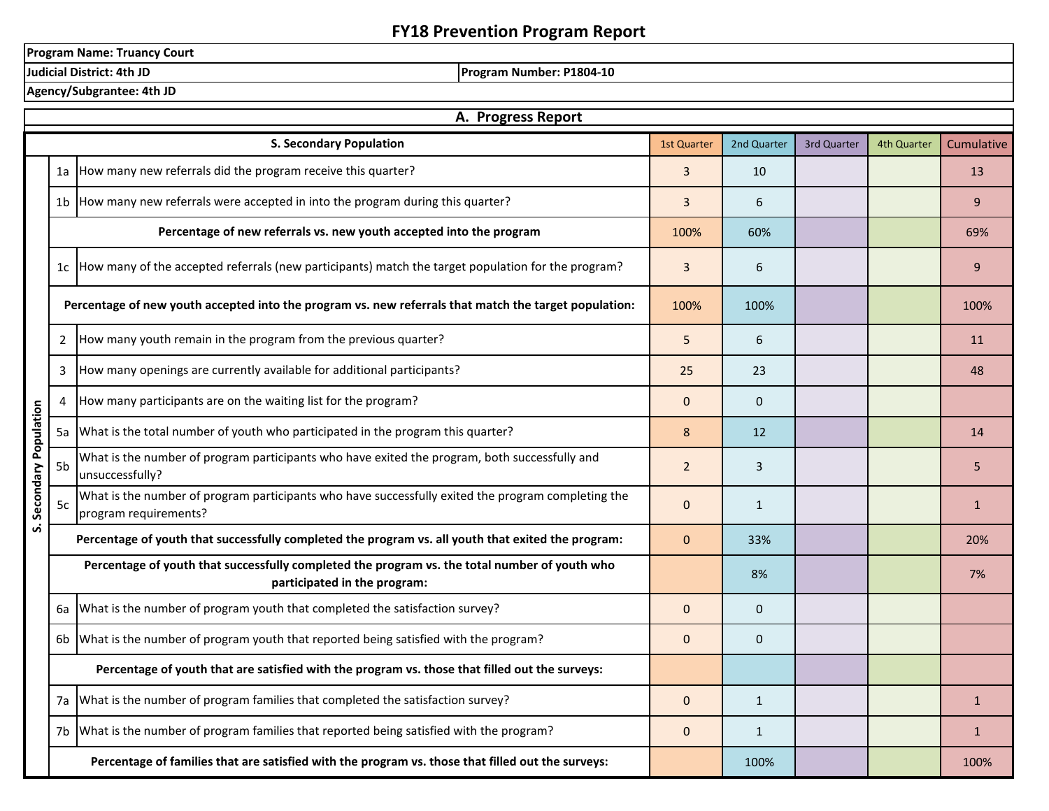## **FY18 Prevention Program Report**

**Program Name: Truancy Court**<br>Judicial District: 4th JD

**Program Number: P1804-10** 

**Agency/Subgrantee: 4th JD**

|                         | A. Progress Report |                                                                                                                               |                    |              |             |             |              |  |  |
|-------------------------|--------------------|-------------------------------------------------------------------------------------------------------------------------------|--------------------|--------------|-------------|-------------|--------------|--|--|
|                         |                    | <b>S. Secondary Population</b>                                                                                                | <b>1st Quarter</b> | 2nd Quarter  | 3rd Quarter | 4th Quarter | Cumulative   |  |  |
|                         | 1a                 | How many new referrals did the program receive this quarter?                                                                  | 3                  | 10           |             |             | 13           |  |  |
|                         | 1 <sub>b</sub>     | How many new referrals were accepted in into the program during this quarter?                                                 | 3                  | 6            |             |             | 9            |  |  |
|                         |                    | Percentage of new referrals vs. new youth accepted into the program                                                           | 100%               | 60%          |             |             | 69%          |  |  |
|                         |                    | 1c How many of the accepted referrals (new participants) match the target population for the program?                         | $\overline{3}$     | 6            |             |             | 9            |  |  |
|                         |                    | Percentage of new youth accepted into the program vs. new referrals that match the target population:                         | 100%               | 100%         |             |             | 100%         |  |  |
|                         | 2                  | How many youth remain in the program from the previous quarter?                                                               | 5                  | 6            |             |             | 11           |  |  |
|                         | 3                  | How many openings are currently available for additional participants?                                                        | 25                 | 23           |             |             | 48           |  |  |
|                         | 4                  | How many participants are on the waiting list for the program?<br>$\Omega$<br>$\pmb{0}$                                       |                    |              |             |             |              |  |  |
|                         | 5a                 | What is the total number of youth who participated in the program this quarter?                                               | 8                  | 12           |             |             | 14           |  |  |
|                         | 5b                 | What is the number of program participants who have exited the program, both successfully and<br>unsuccessfully?              |                    | 3            |             |             | 5            |  |  |
| S. Secondary Population | 5c                 | What is the number of program participants who have successfully exited the program completing the<br>program requirements?   | $\mathbf 0$        | $\mathbf{1}$ |             |             | $\mathbf{1}$ |  |  |
|                         |                    | Percentage of youth that successfully completed the program vs. all youth that exited the program:                            | $\mathbf{0}$       | 33%          |             |             | 20%          |  |  |
|                         |                    | Percentage of youth that successfully completed the program vs. the total number of youth who<br>participated in the program: |                    | 8%           |             |             | 7%           |  |  |
|                         | 6a                 | What is the number of program youth that completed the satisfaction survey?                                                   | $\Omega$           | $\mathbf 0$  |             |             |              |  |  |
|                         | 6b                 | What is the number of program youth that reported being satisfied with the program?                                           | $\Omega$           | $\mathbf 0$  |             |             |              |  |  |
|                         |                    | Percentage of youth that are satisfied with the program vs. those that filled out the surveys:                                |                    |              |             |             |              |  |  |
|                         | 7a                 | What is the number of program families that completed the satisfaction survey?                                                | $\mathbf 0$        | $1\,$        |             |             | $\mathbf{1}$ |  |  |
|                         | 7b                 | What is the number of program families that reported being satisfied with the program?                                        | $\mathbf 0$        | $\mathbf{1}$ |             |             | $\mathbf{1}$ |  |  |
|                         |                    | Percentage of families that are satisfied with the program vs. those that filled out the surveys:                             |                    | 100%         |             |             | 100%         |  |  |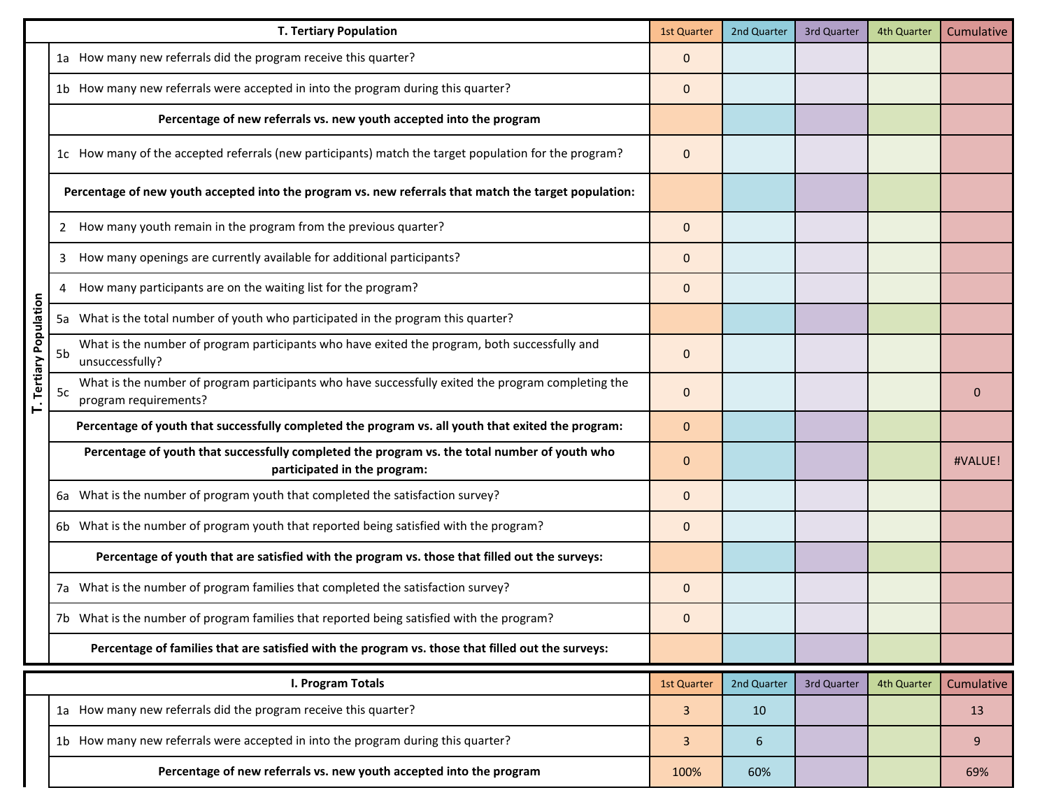|                        |    | <b>T. Tertiary Population</b>                                                                                                 | <b>1st Quarter</b> | 2nd Quarter | 3rd Quarter | 4th Quarter | Cumulative |
|------------------------|----|-------------------------------------------------------------------------------------------------------------------------------|--------------------|-------------|-------------|-------------|------------|
|                        |    | 1a How many new referrals did the program receive this quarter?                                                               | $\mathbf{0}$       |             |             |             |            |
|                        |    | 1b How many new referrals were accepted in into the program during this quarter?                                              | $\mathbf{0}$       |             |             |             |            |
|                        |    | Percentage of new referrals vs. new youth accepted into the program                                                           |                    |             |             |             |            |
|                        |    | 1c How many of the accepted referrals (new participants) match the target population for the program?                         | $\mathbf 0$        |             |             |             |            |
|                        |    | Percentage of new youth accepted into the program vs. new referrals that match the target population:                         |                    |             |             |             |            |
|                        |    | How many youth remain in the program from the previous quarter?                                                               | $\mathbf{0}$       |             |             |             |            |
|                        | 3  | How many openings are currently available for additional participants?                                                        | $\mathbf 0$        |             |             |             |            |
|                        | 4  | How many participants are on the waiting list for the program?                                                                | $\mathbf 0$        |             |             |             |            |
|                        |    | 5a What is the total number of youth who participated in the program this quarter?                                            |                    |             |             |             |            |
| T. Tertiary Population | 5b | What is the number of program participants who have exited the program, both successfully and<br>unsuccessfully?              | $\mathbf 0$        |             |             |             |            |
|                        | 5c | What is the number of program participants who have successfully exited the program completing the<br>program requirements?   | $\mathbf{0}$       |             |             |             | 0          |
|                        |    | Percentage of youth that successfully completed the program vs. all youth that exited the program:                            | $\mathbf{0}$       |             |             |             |            |
|                        |    | Percentage of youth that successfully completed the program vs. the total number of youth who<br>participated in the program: | $\mathbf 0$        |             |             |             | #VALUE!    |
|                        |    | 6a What is the number of program youth that completed the satisfaction survey?                                                | $\mathbf{0}$       |             |             |             |            |
|                        |    | 6b What is the number of program youth that reported being satisfied with the program?                                        | $\mathbf 0$        |             |             |             |            |
|                        |    | Percentage of youth that are satisfied with the program vs. those that filled out the surveys:                                |                    |             |             |             |            |
|                        |    | 7a What is the number of program families that completed the satisfaction survey?                                             | $\mathbf 0$        |             |             |             |            |
|                        |    | 7b What is the number of program families that reported being satisfied with the program?                                     | $\mathbf{0}$       |             |             |             |            |
|                        |    | Percentage of families that are satisfied with the program vs. those that filled out the surveys:                             |                    |             |             |             |            |
|                        |    | I. Program Totals                                                                                                             | 1st Quarter        | 2nd Quarter | 3rd Quarter | 4th Quarter | Cumulative |
|                        |    | 1a How many new referrals did the program receive this quarter?                                                               | 3                  | 10          |             |             | 13         |
|                        |    | 1b How many new referrals were accepted in into the program during this quarter?                                              | 3                  | 6           |             |             | 9          |
|                        |    | Percentage of new referrals vs. new youth accepted into the program                                                           | 100%               | 60%         |             |             | 69%        |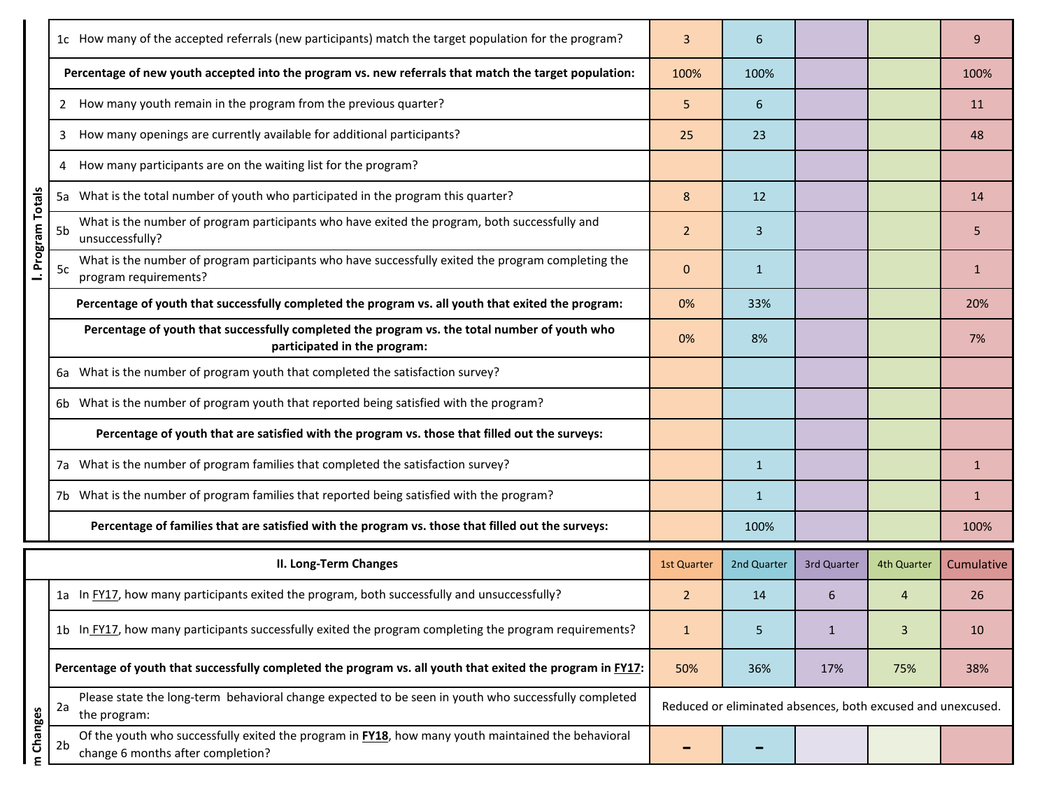|                   |    | 1c How many of the accepted referrals (new participants) match the target population for the program?                                   | 3                  | 6            |                                                             |             | 9            |
|-------------------|----|-----------------------------------------------------------------------------------------------------------------------------------------|--------------------|--------------|-------------------------------------------------------------|-------------|--------------|
|                   |    | Percentage of new youth accepted into the program vs. new referrals that match the target population:                                   | 100%               | 100%         |                                                             |             | 100%         |
|                   |    | 2 How many youth remain in the program from the previous quarter?                                                                       | 5                  | 6            |                                                             |             | 11           |
|                   | 3  | How many openings are currently available for additional participants?                                                                  | 25                 | 23           |                                                             |             | 48           |
|                   | 4  | How many participants are on the waiting list for the program?                                                                          |                    |              |                                                             |             |              |
|                   |    | 5a What is the total number of youth who participated in the program this quarter?                                                      | 8                  | 12           |                                                             |             | 14           |
| I. Program Totals | 5b | What is the number of program participants who have exited the program, both successfully and<br>unsuccessfully?                        | $\overline{2}$     | 3            |                                                             |             | 5            |
|                   | 5c | What is the number of program participants who have successfully exited the program completing the<br>program requirements?             | $\Omega$           | $\mathbf{1}$ |                                                             |             | $\mathbf{1}$ |
|                   |    | Percentage of youth that successfully completed the program vs. all youth that exited the program:                                      | 0%                 | 33%          |                                                             |             | 20%          |
|                   |    | Percentage of youth that successfully completed the program vs. the total number of youth who<br>participated in the program:           | 0%                 | 8%           |                                                             |             | 7%           |
|                   |    | 6a What is the number of program youth that completed the satisfaction survey?                                                          |                    |              |                                                             |             |              |
|                   |    | 6b What is the number of program youth that reported being satisfied with the program?                                                  |                    |              |                                                             |             |              |
|                   |    | Percentage of youth that are satisfied with the program vs. those that filled out the surveys:                                          |                    |              |                                                             |             |              |
|                   |    | 7a What is the number of program families that completed the satisfaction survey?                                                       |                    | $\mathbf{1}$ |                                                             |             | $\mathbf{1}$ |
|                   |    | 7b What is the number of program families that reported being satisfied with the program?                                               |                    | $\mathbf{1}$ |                                                             |             | $\mathbf{1}$ |
|                   |    | Percentage of families that are satisfied with the program vs. those that filled out the surveys:                                       |                    | 100%         |                                                             |             | 100%         |
|                   |    | <b>II. Long-Term Changes</b>                                                                                                            | <b>1st Quarter</b> | 2nd Quarter  | 3rd Quarter                                                 | 4th Quarter | Cumulative   |
|                   |    | 1a In FY17, how many participants exited the program, both successfully and unsuccessfully?                                             | $\overline{2}$     | 14           | 6                                                           | 4           | 26           |
|                   |    | 1b In FY17, how many participants successfully exited the program completing the program requirements?                                  | $\mathbf{1}$       | 5            | $\mathbf{1}$                                                | 3           | 10           |
|                   |    | Percentage of youth that successfully completed the program vs. all youth that exited the program in FY17:                              | 50%                | 36%          | 17%                                                         | 75%         | 38%          |
|                   | 2a | Please state the long-term behavioral change expected to be seen in youth who successfully completed<br>the program:                    |                    |              | Reduced or eliminated absences, both excused and unexcused. |             |              |
| Changes<br>ε      | 2b | Of the youth who successfully exited the program in FY18, how many youth maintained the behavioral<br>change 6 months after completion? |                    |              |                                                             |             |              |
|                   |    |                                                                                                                                         |                    |              |                                                             |             |              |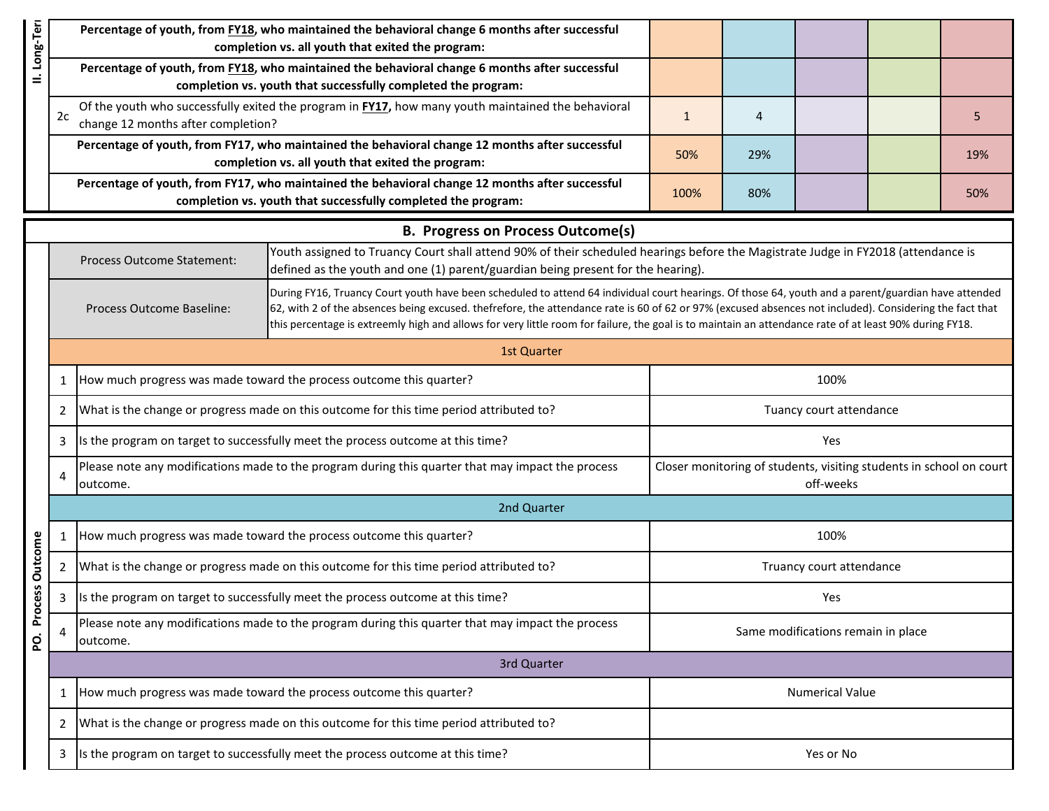| II. Long-Terr   |                                                                                      |                                                                                                                                                      | Percentage of youth, from FY18, who maintained the behavioral change 6 months after successful<br>completion vs. all youth that exited the program:                                                                                                                                                                                                                                                                                                                      |                                                                                  |           |                                    |     |     |  |  |  |
|-----------------|--------------------------------------------------------------------------------------|------------------------------------------------------------------------------------------------------------------------------------------------------|--------------------------------------------------------------------------------------------------------------------------------------------------------------------------------------------------------------------------------------------------------------------------------------------------------------------------------------------------------------------------------------------------------------------------------------------------------------------------|----------------------------------------------------------------------------------|-----------|------------------------------------|-----|-----|--|--|--|
|                 |                                                                                      |                                                                                                                                                      | Percentage of youth, from FY18, who maintained the behavioral change 6 months after successful<br>completion vs. youth that successfully completed the program:                                                                                                                                                                                                                                                                                                          |                                                                                  |           |                                    |     |     |  |  |  |
|                 | 2c                                                                                   | Of the youth who successfully exited the program in FY17, how many youth maintained the behavioral<br>change 12 months after completion?             | $\mathbf{1}$                                                                                                                                                                                                                                                                                                                                                                                                                                                             | 4                                                                                |           |                                    | 5   |     |  |  |  |
|                 |                                                                                      | Percentage of youth, from FY17, who maintained the behavioral change 12 months after successful<br>completion vs. all youth that exited the program: | 50%                                                                                                                                                                                                                                                                                                                                                                                                                                                                      | 29%                                                                              |           |                                    | 19% |     |  |  |  |
|                 |                                                                                      |                                                                                                                                                      | Percentage of youth, from FY17, who maintained the behavioral change 12 months after successful<br>completion vs. youth that successfully completed the program:                                                                                                                                                                                                                                                                                                         | 100%                                                                             | 80%       |                                    |     | 50% |  |  |  |
|                 |                                                                                      |                                                                                                                                                      | <b>B. Progress on Process Outcome(s)</b>                                                                                                                                                                                                                                                                                                                                                                                                                                 |                                                                                  |           |                                    |     |     |  |  |  |
|                 |                                                                                      | Process Outcome Statement:                                                                                                                           | Youth assigned to Truancy Court shall attend 90% of their scheduled hearings before the Magistrate Judge in FY2018 (attendance is<br>defined as the youth and one (1) parent/guardian being present for the hearing).                                                                                                                                                                                                                                                    |                                                                                  |           |                                    |     |     |  |  |  |
|                 |                                                                                      | Process Outcome Baseline:                                                                                                                            | During FY16, Truancy Court youth have been scheduled to attend 64 individual court hearings. Of those 64, youth and a parent/guardian have attended<br>62, with 2 of the absences being excused. thefrefore, the attendance rate is 60 of 62 or 97% (excused absences not included). Considering the fact that<br>this percentage is extreemly high and allows for very little room for failure, the goal is to maintain an attendance rate of at least 90% during FY18. |                                                                                  |           |                                    |     |     |  |  |  |
|                 |                                                                                      |                                                                                                                                                      | <b>1st Quarter</b>                                                                                                                                                                                                                                                                                                                                                                                                                                                       |                                                                                  |           |                                    |     |     |  |  |  |
|                 | 1                                                                                    |                                                                                                                                                      | How much progress was made toward the process outcome this quarter?                                                                                                                                                                                                                                                                                                                                                                                                      |                                                                                  |           | 100%                               |     |     |  |  |  |
|                 | 2                                                                                    |                                                                                                                                                      | What is the change or progress made on this outcome for this time period attributed to?                                                                                                                                                                                                                                                                                                                                                                                  | Tuancy court attendance                                                          |           |                                    |     |     |  |  |  |
|                 | 3                                                                                    |                                                                                                                                                      | Is the program on target to successfully meet the process outcome at this time?                                                                                                                                                                                                                                                                                                                                                                                          | Yes                                                                              |           |                                    |     |     |  |  |  |
|                 | 4                                                                                    | outcome.                                                                                                                                             | Please note any modifications made to the program during this quarter that may impact the process                                                                                                                                                                                                                                                                                                                                                                        | Closer monitoring of students, visiting students in school on court<br>off-weeks |           |                                    |     |     |  |  |  |
|                 |                                                                                      | 2nd Quarter                                                                                                                                          |                                                                                                                                                                                                                                                                                                                                                                                                                                                                          |                                                                                  |           |                                    |     |     |  |  |  |
|                 | 1                                                                                    |                                                                                                                                                      | How much progress was made toward the process outcome this quarter?                                                                                                                                                                                                                                                                                                                                                                                                      | 100%                                                                             |           |                                    |     |     |  |  |  |
| Process Outcome | 2                                                                                    |                                                                                                                                                      | What is the change or progress made on this outcome for this time period attributed to?                                                                                                                                                                                                                                                                                                                                                                                  | Truancy court attendance                                                         |           |                                    |     |     |  |  |  |
|                 | 3                                                                                    |                                                                                                                                                      | Is the program on target to successfully meet the process outcome at this time?                                                                                                                                                                                                                                                                                                                                                                                          |                                                                                  |           | Yes                                |     |     |  |  |  |
| б.              | 4                                                                                    | outcome.                                                                                                                                             | Please note any modifications made to the program during this quarter that may impact the process                                                                                                                                                                                                                                                                                                                                                                        |                                                                                  |           | Same modifications remain in place |     |     |  |  |  |
|                 |                                                                                      |                                                                                                                                                      | 3rd Quarter                                                                                                                                                                                                                                                                                                                                                                                                                                                              |                                                                                  |           |                                    |     |     |  |  |  |
|                 | 1                                                                                    |                                                                                                                                                      | How much progress was made toward the process outcome this quarter?                                                                                                                                                                                                                                                                                                                                                                                                      |                                                                                  |           | <b>Numerical Value</b>             |     |     |  |  |  |
|                 | 2                                                                                    |                                                                                                                                                      | What is the change or progress made on this outcome for this time period attributed to?                                                                                                                                                                                                                                                                                                                                                                                  |                                                                                  |           |                                    |     |     |  |  |  |
|                 | Is the program on target to successfully meet the process outcome at this time?<br>3 |                                                                                                                                                      |                                                                                                                                                                                                                                                                                                                                                                                                                                                                          |                                                                                  | Yes or No |                                    |     |     |  |  |  |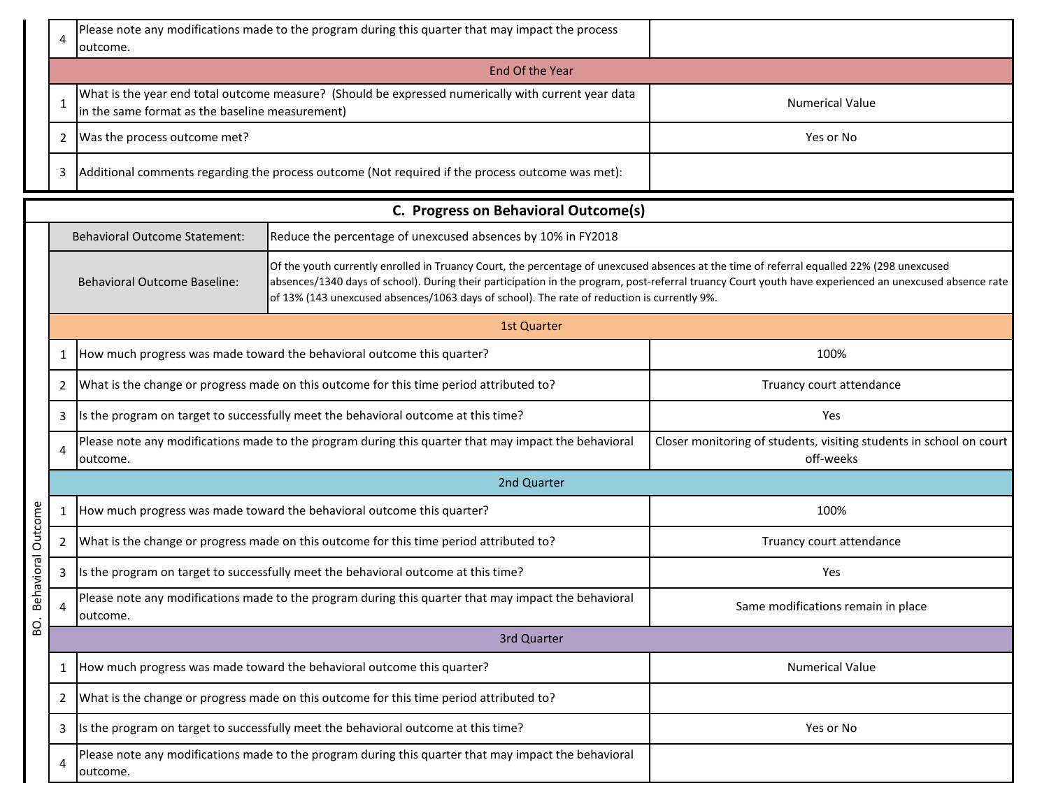|           | 4                                    | outcome.                                                                                                                                                                                                                                                                                                                                                                                                                                   | Please note any modifications made to the program during this quarter that may impact the process    |                                                                                  |  |  |  |  |  |  |  |
|-----------|--------------------------------------|--------------------------------------------------------------------------------------------------------------------------------------------------------------------------------------------------------------------------------------------------------------------------------------------------------------------------------------------------------------------------------------------------------------------------------------------|------------------------------------------------------------------------------------------------------|----------------------------------------------------------------------------------|--|--|--|--|--|--|--|
|           |                                      | End Of the Year                                                                                                                                                                                                                                                                                                                                                                                                                            |                                                                                                      |                                                                                  |  |  |  |  |  |  |  |
|           | $\mathbf{1}$                         | in the same format as the baseline measurement)                                                                                                                                                                                                                                                                                                                                                                                            | What is the year end total outcome measure? (Should be expressed numerically with current year data  | <b>Numerical Value</b>                                                           |  |  |  |  |  |  |  |
|           | 2                                    | Was the process outcome met?                                                                                                                                                                                                                                                                                                                                                                                                               |                                                                                                      | Yes or No                                                                        |  |  |  |  |  |  |  |
|           | 3                                    |                                                                                                                                                                                                                                                                                                                                                                                                                                            | Additional comments regarding the process outcome (Not required if the process outcome was met):     |                                                                                  |  |  |  |  |  |  |  |
|           | C. Progress on Behavioral Outcome(s) |                                                                                                                                                                                                                                                                                                                                                                                                                                            |                                                                                                      |                                                                                  |  |  |  |  |  |  |  |
|           |                                      | <b>Behavioral Outcome Statement:</b>                                                                                                                                                                                                                                                                                                                                                                                                       | Reduce the percentage of unexcused absences by 10% in FY2018                                         |                                                                                  |  |  |  |  |  |  |  |
|           |                                      | Of the youth currently enrolled in Truancy Court, the percentage of unexcused absences at the time of referral equalled 22% (298 unexcused<br>absences/1340 days of school). During their participation in the program, post-referral truancy Court youth have experienced an unexcused absence rate<br><b>Behavioral Outcome Baseline:</b><br>of 13% (143 unexcused absences/1063 days of school). The rate of reduction is currently 9%. |                                                                                                      |                                                                                  |  |  |  |  |  |  |  |
|           |                                      |                                                                                                                                                                                                                                                                                                                                                                                                                                            | 1st Quarter                                                                                          |                                                                                  |  |  |  |  |  |  |  |
|           | 1                                    |                                                                                                                                                                                                                                                                                                                                                                                                                                            | How much progress was made toward the behavioral outcome this quarter?                               | 100%                                                                             |  |  |  |  |  |  |  |
|           | 2                                    |                                                                                                                                                                                                                                                                                                                                                                                                                                            | What is the change or progress made on this outcome for this time period attributed to?              | Truancy court attendance                                                         |  |  |  |  |  |  |  |
|           | 3                                    |                                                                                                                                                                                                                                                                                                                                                                                                                                            | Is the program on target to successfully meet the behavioral outcome at this time?                   | Yes                                                                              |  |  |  |  |  |  |  |
|           | 4                                    | outcome.                                                                                                                                                                                                                                                                                                                                                                                                                                   | Please note any modifications made to the program during this quarter that may impact the behavioral | Closer monitoring of students, visiting students in school on court<br>off-weeks |  |  |  |  |  |  |  |
|           |                                      |                                                                                                                                                                                                                                                                                                                                                                                                                                            | 2nd Quarter                                                                                          |                                                                                  |  |  |  |  |  |  |  |
| Outcome   | 1                                    |                                                                                                                                                                                                                                                                                                                                                                                                                                            | How much progress was made toward the behavioral outcome this quarter?                               | 100%                                                                             |  |  |  |  |  |  |  |
|           | $\overline{2}$                       |                                                                                                                                                                                                                                                                                                                                                                                                                                            | What is the change or progress made on this outcome for this time period attributed to?              | Truancy court attendance                                                         |  |  |  |  |  |  |  |
| ehavioral | 3                                    |                                                                                                                                                                                                                                                                                                                                                                                                                                            | Its the program on target to successfully meet the behavioral outcome at this time?                  | Yes                                                                              |  |  |  |  |  |  |  |
| Б         | 4                                    | outcome.                                                                                                                                                                                                                                                                                                                                                                                                                                   | Please note any modifications made to the program during this quarter that may impact the behavioral | Same modifications remain in place                                               |  |  |  |  |  |  |  |
| SO.       |                                      | 3rd Quarter                                                                                                                                                                                                                                                                                                                                                                                                                                |                                                                                                      |                                                                                  |  |  |  |  |  |  |  |
|           | 1                                    |                                                                                                                                                                                                                                                                                                                                                                                                                                            | How much progress was made toward the behavioral outcome this quarter?                               | <b>Numerical Value</b>                                                           |  |  |  |  |  |  |  |
|           | 2                                    |                                                                                                                                                                                                                                                                                                                                                                                                                                            | What is the change or progress made on this outcome for this time period attributed to?              |                                                                                  |  |  |  |  |  |  |  |
|           | 3                                    |                                                                                                                                                                                                                                                                                                                                                                                                                                            | Is the program on target to successfully meet the behavioral outcome at this time?                   | Yes or No                                                                        |  |  |  |  |  |  |  |
|           | 4                                    | outcome.                                                                                                                                                                                                                                                                                                                                                                                                                                   | Please note any modifications made to the program during this quarter that may impact the behavioral |                                                                                  |  |  |  |  |  |  |  |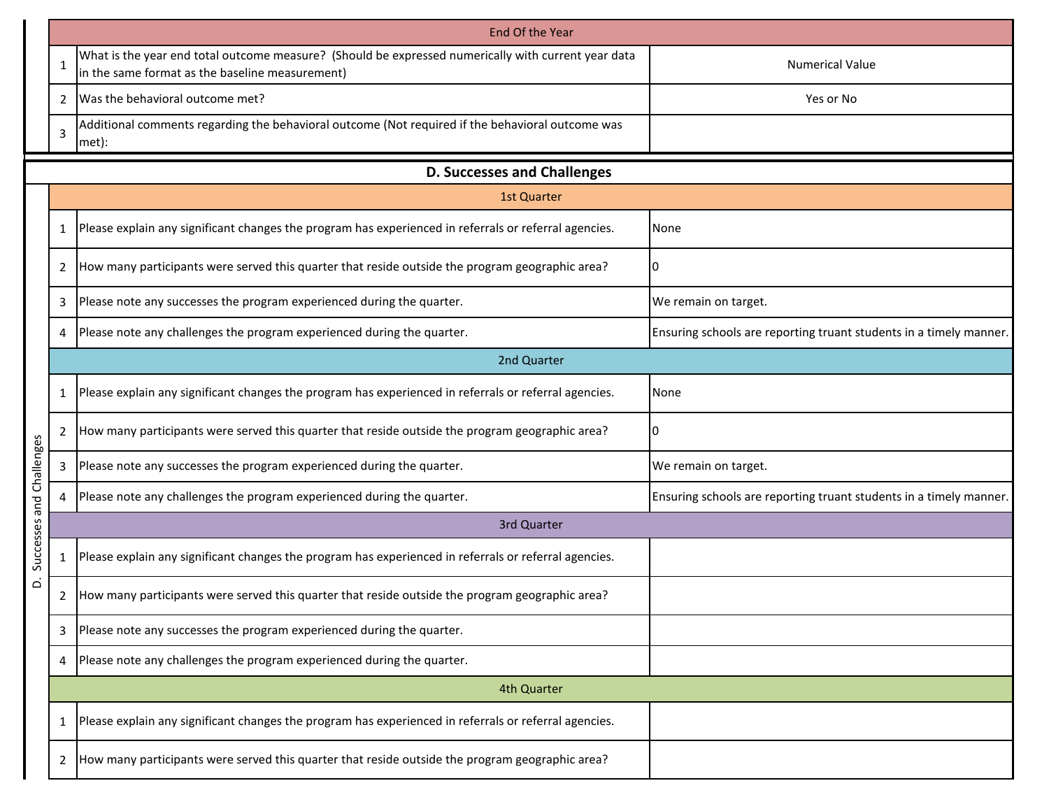|                |                | End Of the Year                                                                                                                                        |                                                                    |
|----------------|----------------|--------------------------------------------------------------------------------------------------------------------------------------------------------|--------------------------------------------------------------------|
|                | 1              | What is the year end total outcome measure? (Should be expressed numerically with current year data<br>in the same format as the baseline measurement) | <b>Numerical Value</b>                                             |
|                | 2              | Was the behavioral outcome met?                                                                                                                        | Yes or No                                                          |
|                | 3              | Additional comments regarding the behavioral outcome (Not required if the behavioral outcome was<br>met):                                              |                                                                    |
|                |                | <b>D. Successes and Challenges</b>                                                                                                                     |                                                                    |
|                |                | <b>1st Quarter</b>                                                                                                                                     |                                                                    |
|                | $\mathbf{1}$   | Please explain any significant changes the program has experienced in referrals or referral agencies.                                                  | None                                                               |
|                | 2              | How many participants were served this quarter that reside outside the program geographic area?                                                        | 0                                                                  |
|                | 3              | Please note any successes the program experienced during the quarter.                                                                                  | We remain on target.                                               |
|                | 4              | Please note any challenges the program experienced during the quarter.                                                                                 | Ensuring schools are reporting truant students in a timely manner. |
|                |                | 2nd Quarter                                                                                                                                            |                                                                    |
|                | 1              | Please explain any significant changes the program has experienced in referrals or referral agencies.                                                  | None                                                               |
|                | 2              | How many participants were served this quarter that reside outside the program geographic area?                                                        | 0                                                                  |
|                | 3              | Please note any successes the program experienced during the quarter.                                                                                  | We remain on target.                                               |
| and Challenges | 4              | Please note any challenges the program experienced during the quarter.                                                                                 | Ensuring schools are reporting truant students in a timely manner. |
|                |                | 3rd Quarter                                                                                                                                            |                                                                    |
| Successes      | $\mathbf{1}$   | Please explain any significant changes the program has experienced in referrals or referral agencies.                                                  |                                                                    |
| غ              | 2              | How many participants were served this quarter that reside outside the program geographic area?                                                        |                                                                    |
|                | 3              | Please note any successes the program experienced during the quarter.                                                                                  |                                                                    |
|                | 4              | Please note any challenges the program experienced during the quarter.                                                                                 |                                                                    |
|                |                | 4th Quarter                                                                                                                                            |                                                                    |
|                | $\mathbf{1}$   | Please explain any significant changes the program has experienced in referrals or referral agencies.                                                  |                                                                    |
|                | $\overline{2}$ | How many participants were served this quarter that reside outside the program geographic area?                                                        |                                                                    |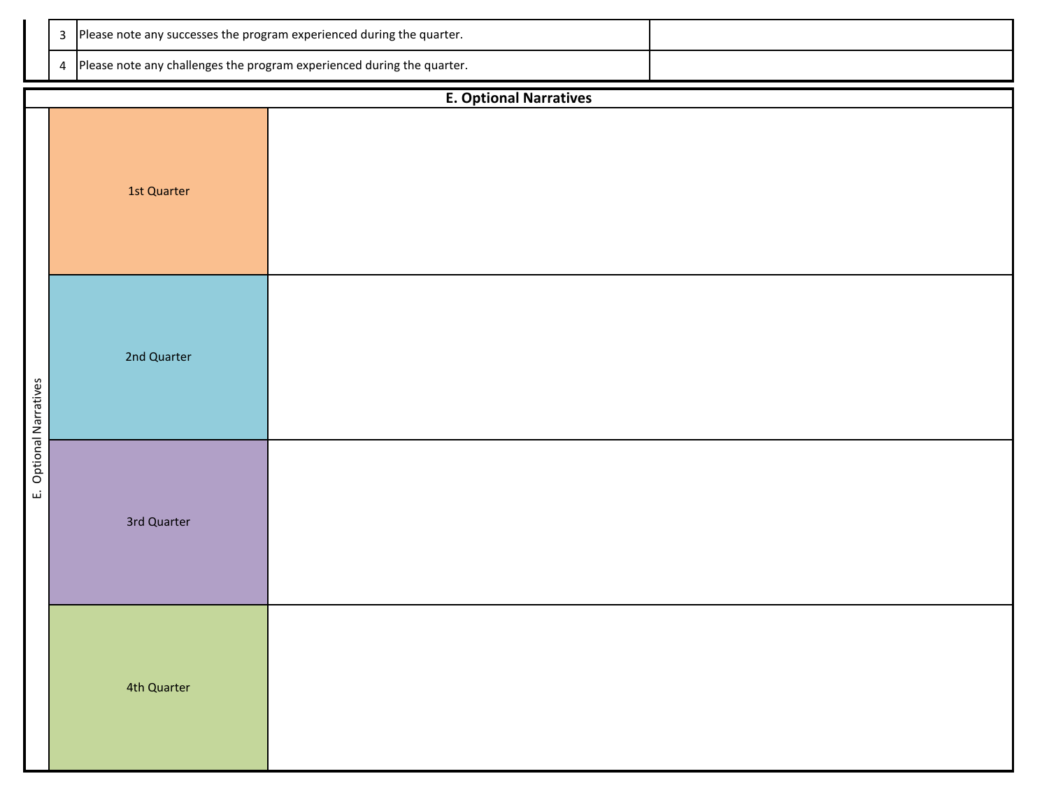|  | 3 Please note any successes the program experienced during the quarter.  |  |
|--|--------------------------------------------------------------------------|--|
|  | 4 Please note any challenges the program experienced during the quarter. |  |

|                        | <b>E. Optional Narratives</b> |  |  |  |  |  |  |  |  |  |
|------------------------|-------------------------------|--|--|--|--|--|--|--|--|--|
|                        | 1st Quarter                   |  |  |  |  |  |  |  |  |  |
| E. Optional Narratives | 2nd Quarter                   |  |  |  |  |  |  |  |  |  |
|                        | 3rd Quarter                   |  |  |  |  |  |  |  |  |  |
|                        | 4th Quarter                   |  |  |  |  |  |  |  |  |  |